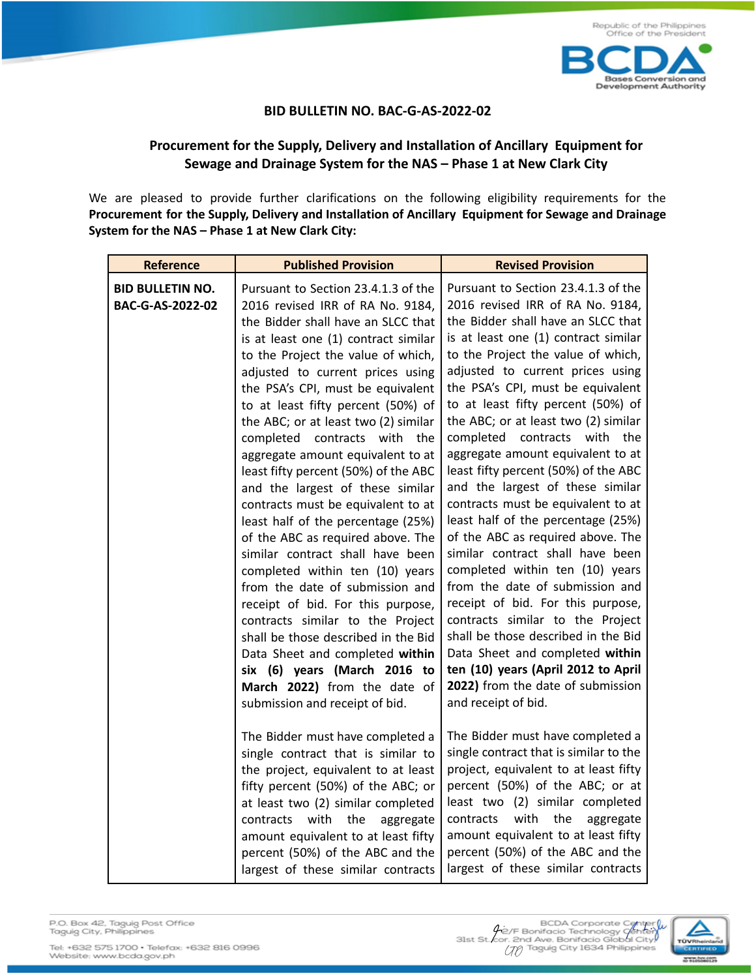

## **BID BULLETIN NO. BAC-G-AS-2022-02**

## **Procurement for the Supply, Delivery and Installation of Ancillary Equipment for Sewage and Drainage System for the NAS – Phase 1 at New Clark City**

We are pleased to provide further clarifications on the following eligibility requirements for the **Procurement for the Supply, Delivery and Installation of Ancillary Equipment for Sewage and Drainage System for the NAS – Phase 1 at New Clark City:**

| <b>Reference</b>                            | <b>Published Provision</b>                                                                                                                                                                                                                                                                                                                                                                                                                                                                                                                                                                                                                                                                                                                                                                                                                                                                                                                                                                | <b>Revised Provision</b>                                                                                                                                                                                                                                                                                                                                                                                                                                                                                                                                                                                                                                                                                                                                                                                                                                                                                                                                                             |
|---------------------------------------------|-------------------------------------------------------------------------------------------------------------------------------------------------------------------------------------------------------------------------------------------------------------------------------------------------------------------------------------------------------------------------------------------------------------------------------------------------------------------------------------------------------------------------------------------------------------------------------------------------------------------------------------------------------------------------------------------------------------------------------------------------------------------------------------------------------------------------------------------------------------------------------------------------------------------------------------------------------------------------------------------|--------------------------------------------------------------------------------------------------------------------------------------------------------------------------------------------------------------------------------------------------------------------------------------------------------------------------------------------------------------------------------------------------------------------------------------------------------------------------------------------------------------------------------------------------------------------------------------------------------------------------------------------------------------------------------------------------------------------------------------------------------------------------------------------------------------------------------------------------------------------------------------------------------------------------------------------------------------------------------------|
| <b>BID BULLETIN NO.</b><br>BAC-G-AS-2022-02 | Pursuant to Section 23.4.1.3 of the<br>2016 revised IRR of RA No. 9184,<br>the Bidder shall have an SLCC that<br>is at least one (1) contract similar<br>to the Project the value of which,<br>adjusted to current prices using<br>the PSA's CPI, must be equivalent<br>to at least fifty percent (50%) of<br>the ABC; or at least two (2) similar<br>completed<br>contracts with<br>the<br>aggregate amount equivalent to at<br>least fifty percent (50%) of the ABC<br>and the largest of these similar<br>contracts must be equivalent to at<br>least half of the percentage (25%)<br>of the ABC as required above. The<br>similar contract shall have been<br>completed within ten (10) years<br>from the date of submission and<br>receipt of bid. For this purpose,<br>contracts similar to the Project<br>shall be those described in the Bid<br>Data Sheet and completed within<br>six (6) years (March 2016 to<br>March 2022) from the date of<br>submission and receipt of bid. | Pursuant to Section 23.4.1.3 of the<br>2016 revised IRR of RA No. 9184,<br>the Bidder shall have an SLCC that<br>is at least one (1) contract similar<br>to the Project the value of which,<br>adjusted to current prices using<br>the PSA's CPI, must be equivalent<br>to at least fifty percent (50%) of<br>the ABC; or at least two (2) similar<br>completed contracts with the<br>aggregate amount equivalent to at<br>least fifty percent (50%) of the ABC<br>and the largest of these similar<br>contracts must be equivalent to at<br>least half of the percentage (25%)<br>of the ABC as required above. The<br>similar contract shall have been<br>completed within ten (10) years<br>from the date of submission and<br>receipt of bid. For this purpose,<br>contracts similar to the Project<br>shall be those described in the Bid<br>Data Sheet and completed within<br>ten (10) years (April 2012 to April<br>2022) from the date of submission<br>and receipt of bid. |
|                                             | The Bidder must have completed a<br>single contract that is similar to<br>the project, equivalent to at least<br>fifty percent (50%) of the ABC; or<br>at least two (2) similar completed<br>with<br>the<br>contracts<br>aggregate<br>amount equivalent to at least fifty<br>percent (50%) of the ABC and the<br>largest of these similar contracts                                                                                                                                                                                                                                                                                                                                                                                                                                                                                                                                                                                                                                       | The Bidder must have completed a<br>single contract that is similar to the<br>project, equivalent to at least fifty<br>percent (50%) of the ABC; or at<br>least two (2) similar completed<br>with<br>the<br>contracts<br>aggregate<br>amount equivalent to at least fifty<br>percent (50%) of the ABC and the<br>largest of these similar contracts                                                                                                                                                                                                                                                                                                                                                                                                                                                                                                                                                                                                                                  |

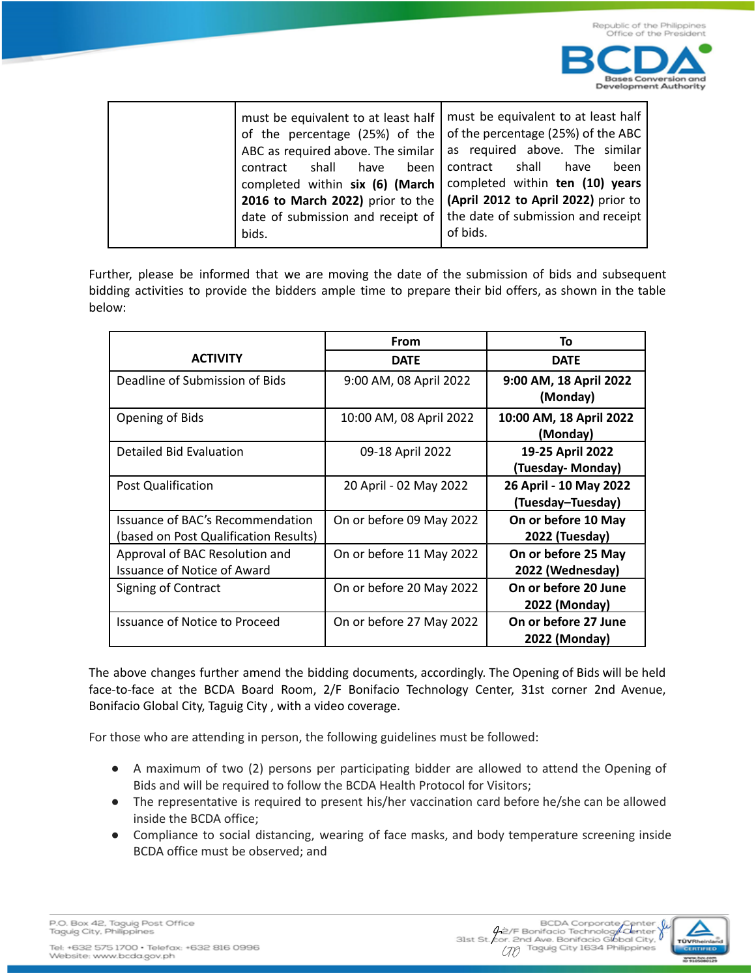

Further, please be informed that we are moving the date of the submission of bids and subsequent bidding activities to provide the bidders ample time to prepare their bid offers, as shown in the table below:

|                                                                           | From                     | To                                          |
|---------------------------------------------------------------------------|--------------------------|---------------------------------------------|
| <b>ACTIVITY</b>                                                           | <b>DATE</b>              | <b>DATE</b>                                 |
| Deadline of Submission of Bids                                            | 9:00 AM, 08 April 2022   | 9:00 AM, 18 April 2022<br>(Monday)          |
| Opening of Bids                                                           | 10:00 AM, 08 April 2022  | 10:00 AM, 18 April 2022<br>(Monday)         |
| Detailed Bid Evaluation                                                   | 09-18 April 2022         | 19-25 April 2022<br>(Tuesday- Monday)       |
| Post Qualification                                                        | 20 April - 02 May 2022   | 26 April - 10 May 2022<br>(Tuesday-Tuesday) |
| Issuance of BAC's Recommendation<br>(based on Post Qualification Results) | On or before 09 May 2022 | On or before 10 May<br>2022 (Tuesday)       |
| Approval of BAC Resolution and<br><b>Issuance of Notice of Award</b>      | On or before 11 May 2022 | On or before 25 May<br>2022 (Wednesday)     |
| Signing of Contract                                                       | On or before 20 May 2022 | On or before 20 June<br>2022 (Monday)       |
| Issuance of Notice to Proceed                                             | On or before 27 May 2022 | On or before 27 June<br>2022 (Monday)       |

The above changes further amend the bidding documents, accordingly. The Opening of Bids will be held face-to-face at the BCDA Board Room, 2/F Bonifacio Technology Center, 31st corner 2nd Avenue, Bonifacio Global City, Taguig City , with a video coverage.

For those who are attending in person, the following guidelines must be followed:

- A maximum of two (2) persons per participating bidder are allowed to attend the Opening of Bids and will be required to follow the BCDA Health Protocol for Visitors;
- The representative is required to present his/her vaccination card before he/she can be allowed inside the BCDA office;
- Compliance to social distancing, wearing of face masks, and body temperature screening inside BCDA office must be observed; and